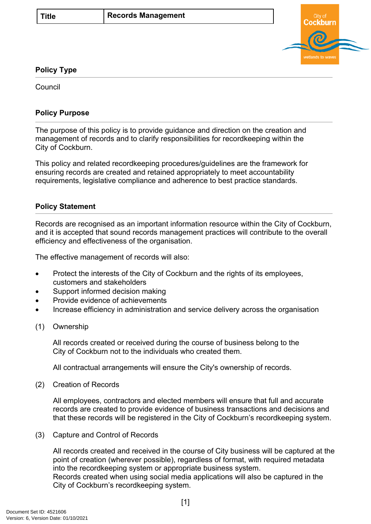

## **Policy Type**

Council

# **Policy Purpose**

The purpose of this policy is to provide guidance and direction on the creation and management of records and to clarify responsibilities for recordkeeping within the City of Cockburn.

This policy and related recordkeeping procedures/guidelines are the framework for ensuring records are created and retained appropriately to meet accountability requirements, legislative compliance and adherence to best practice standards.

## **Policy Statement**

Records are recognised as an important information resource within the City of Cockburn, and it is accepted that sound records management practices will contribute to the overall efficiency and effectiveness of the organisation.

The effective management of records will also:

- Protect the interests of the City of Cockburn and the rights of its employees, customers and stakeholders
- Support informed decision making
- Provide evidence of achievements
- Increase efficiency in administration and service delivery across the organisation
- (1) Ownership

All records created or received during the course of business belong to the City of Cockburn not to the individuals who created them.

All contractual arrangements will ensure the City's ownership of records.

(2) Creation of Records

All employees, contractors and elected members will ensure that full and accurate records are created to provide evidence of business transactions and decisions and that these records will be registered in the City of Cockburn's recordkeeping system.

(3) Capture and Control of Records

All records created and received in the course of City business will be captured at the point of creation (wherever possible), regardless of format, with required metadata into the recordkeeping system or appropriate business system. Records created when using social media applications will also be captured in the City of Cockburn's recordkeeping system.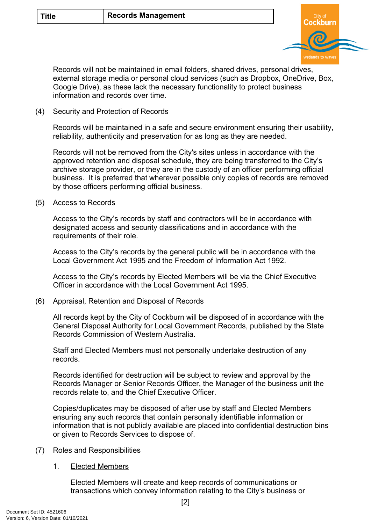

Records will not be maintained in email folders, shared drives, personal drives, external storage media or personal cloud services (such as Dropbox, OneDrive, Box, Google Drive), as these lack the necessary functionality to protect business information and records over time.

(4) Security and Protection of Records

Records will be maintained in a safe and secure environment ensuring their usability, reliability, authenticity and preservation for as long as they are needed.

Records will not be removed from the City's sites unless in accordance with the approved retention and disposal schedule, they are being transferred to the City's archive storage provider, or they are in the custody of an officer performing official business. It is preferred that wherever possible only copies of records are removed by those officers performing official business.

(5) Access to Records

Access to the City's records by staff and contractors will be in accordance with designated access and security classifications and in accordance with the requirements of their role.

Access to the City's records by the general public will be in accordance with the Local Government Act 1995 and the Freedom of Information Act 1992.

Access to the City's records by Elected Members will be via the Chief Executive Officer in accordance with the Local Government Act 1995.

(6) Appraisal, Retention and Disposal of Records

All records kept by the City of Cockburn will be disposed of in accordance with the General Disposal Authority for Local Government Records, published by the State Records Commission of Western Australia.

Staff and Elected Members must not personally undertake destruction of any records.

Records identified for destruction will be subject to review and approval by the Records Manager or Senior Records Officer, the Manager of the business unit the records relate to, and the Chief Executive Officer.

Copies/duplicates may be disposed of after use by staff and Elected Members ensuring any such records that contain personally identifiable information or information that is not publicly available are placed into confidential destruction bins or given to Records Services to dispose of.

- (7) Roles and Responsibilities
	- 1. Elected Members

Elected Members will create and keep records of communications or transactions which convey information relating to the City's business or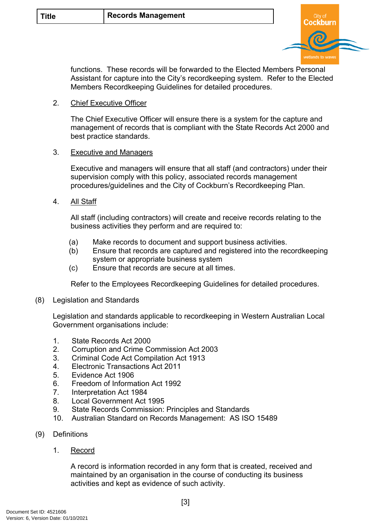

functions. These records will be forwarded to the Elected Members Personal Assistant for capture into the City's recordkeeping system. Refer to the Elected Members Recordkeeping Guidelines for detailed procedures.

### 2. Chief Executive Officer

The Chief Executive Officer will ensure there is a system for the capture and management of records that is compliant with the State Records Act 2000 and best practice standards.

#### 3. Executive and Managers

Executive and managers will ensure that all staff (and contractors) under their supervision comply with this policy, associated records management procedures/guidelines and the City of Cockburn's Recordkeeping Plan.

4. All Staff

All staff (including contractors) will create and receive records relating to the business activities they perform and are required to:

- (a) Make records to document and support business activities.
- (b) Ensure that records are captured and registered into the recordkeeping system or appropriate business system
- (c) Ensure that records are secure at all times.

Refer to the Employees Recordkeeping Guidelines for detailed procedures.

(8) Legislation and Standards

Legislation and standards applicable to recordkeeping in Western Australian Local Government organisations include:

- 1. State Records Act 2000
- 2. Corruption and Crime Commission Act 2003
- 3. Criminal Code Act Compilation Act 1913
- 4. Electronic Transactions Act 2011
- 5. Evidence Act 1906
- 6. Freedom of Information Act 1992
- 7. Interpretation Act 1984
- 8. Local Government Act 1995
- 9. State Records Commission: Principles and Standards
- 10. Australian Standard on Records Management: AS ISO 15489
- (9) Definitions
	- 1. Record

A record is information recorded in any form that is created, received and maintained by an organisation in the course of conducting its business activities and kept as evidence of such activity.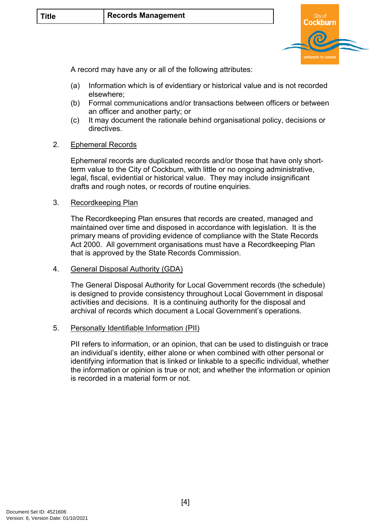

A record may have any or all of the following attributes:

- (a) Information which is of evidentiary or historical value and is not recorded elsewhere;
- (b) Formal communications and/or transactions between officers or between an officer and another party; or
- (c) It may document the rationale behind organisational policy, decisions or directives.

#### 2. Ephemeral Records

Ephemeral records are duplicated records and/or those that have only shortterm value to the City of Cockburn, with little or no ongoing administrative, legal, fiscal, evidential or historical value. They may include insignificant drafts and rough notes, or records of routine enquiries.

#### 3. Recordkeeping Plan

The Recordkeeping Plan ensures that records are created, managed and maintained over time and disposed in accordance with legislation. It is the primary means of providing evidence of compliance with the State Records Act 2000. All government organisations must have a Recordkeeping Plan that is approved by the State Records Commission.

#### 4. General Disposal Authority (GDA)

The General Disposal Authority for Local Government records (the schedule) is designed to provide consistency throughout Local Government in disposal activities and decisions. It is a continuing authority for the disposal and archival of records which document a Local Government's operations.

#### 5. Personally Identifiable Information (PII)

<span id="page-3-0"></span>PII refers to information, or an opinion, that can be used to distinguish or trace an individual's identity, either alone or when combined with other personal or identifying information that is linked or linkable to a specific individual, whether the information or opinion is true or not; and whether the information or opinion is recorded in a material form or not.